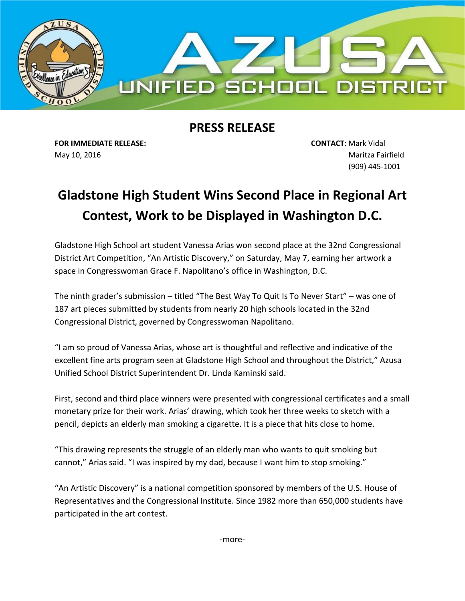

## **PRESS RELEASE**

**FOR IMMEDIATE RELEASE: CONTACT**: Mark Vidal May 10, 2016 Maritza Fairfield

(909) 445-1001

## **Gladstone High Student Wins Second Place in Regional Art Contest, Work to be Displayed in Washington D.C.**

Gladstone High School art student Vanessa Arias won second place at the 32nd Congressional District Art Competition, "An Artistic Discovery," on Saturday, May 7, earning her artwork a space in Congresswoman Grace F. Napolitano's office in Washington, D.C.

The ninth grader's submission – titled "The Best Way To Quit Is To Never Start" – was one of 187 art pieces submitted by students from nearly 20 high schools located in the 32nd Congressional District, governed by Congresswoman Napolitano.

"I am so proud of Vanessa Arias, whose art is thoughtful and reflective and indicative of the excellent fine arts program seen at Gladstone High School and throughout the District," Azusa Unified School District Superintendent Dr. Linda Kaminski said.

First, second and third place winners were presented with congressional certificates and a small monetary prize for their work. Arias' drawing, which took her three weeks to sketch with a pencil, depicts an elderly man smoking a cigarette. It is a piece that hits close to home.

"This drawing represents the struggle of an elderly man who wants to quit smoking but cannot," Arias said. "I was inspired by my dad, because I want him to stop smoking."

"An Artistic Discovery" is a national competition sponsored by members of the U.S. House of Representatives and the Congressional Institute. Since 1982 more than 650,000 students have participated in the art contest.

-more-